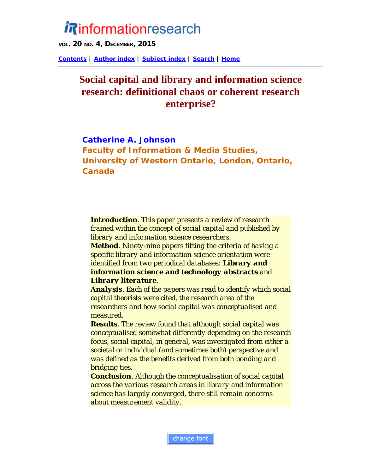# *Rinformationresearch*

**VOL. 20 NO. 4, DECEMBER, 2015**

**[Contents](http://www.informationr.net/ir/20-4/infres204.html) | [Author index](http://www.informationr.net/ir/iraindex.html) | [Subject index](http://www.informationr.net/ir/irsindex.html) | [Search](http://www.informationr.net/ir/search.html) | [Home](http://www.informationr.net/ir/index.html)**

# **Social capital and library and information science research: definitional chaos or coherent research enterprise?**

#### **Catherine A. Johnson**

**Faculty of Information & Media Studies, University of Western Ontario, London, Ontario, Canada**

*Introduction. This paper presents a review of research framed within the concept of social capital and published by library and information science researchers. Method. Ninety-nine papers fitting the criteria of having a specific library and information science orientation were identified from two periodical databases: Library and information science and technology abstracts and*

#### *Library literature.*

*Analysis. Each of the papers was read to identify which social capital theorists were cited, the research area of the researchers and how social capital was conceptualised and measured.*

*Results. The review found that although social capital was conceptualised somewhat differently depending on the research focus, social capital, in general, was investigated from either a societal or individual (and sometimes both) perspective and was defined as the benefits derived from both bonding and bridging ties.*

*Conclusion. Although the conceptualisation of social capital across the various research areas in library and information science has largely converged, there still remain concerns about measurement validity.*

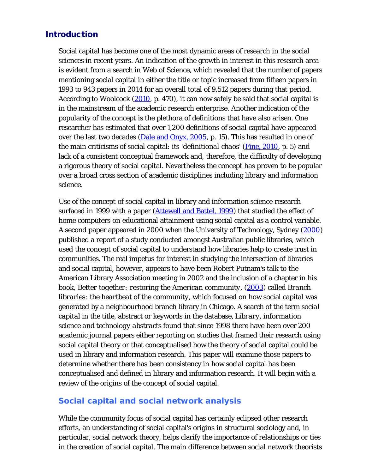# Introduction

Social capital has become one of the most dynamic areas of research in the social sciences in recent years. An indication of the growth in interest in this research area is evident from a search in *Web of Science*, which revealed that the number of papers mentioning social capital in either the title or topic increased from fifteen papers in 1993 to 943 papers in 2014 for an overall total of 9,512 papers during that period. According to Woolcock (2010, p. 470), it can now safely be said that social capital is in the mainstream of the academic research enterprise. Another indication of the popularity of the concept is the plethora of definitions that have also arisen. One researcher has estimated that over 1,200 definitions of social capital have appeared over the last two decades (Dale and Onyx, 2005, p. 15). This has resulted in one of the main criticisms of social capital: its '*definitional chaos*' (Fine, 2010, p. 5) and lack of a consistent conceptual framework and, therefore, the difficulty of developing a rigorous theory of social capital. Nevertheless the concept has proven to be popular over a broad cross section of academic disciplines including library and information science.

Use of the concept of social capital in library and information science research surfaced in 1999 with a paper (**Attewell and Battel, 1999**) that studied the effect of home computers on educational attainment using social capital as a control variable. A second paper appeared in 2000 when the University of Technology, Sydney (2000) published a report of a study conducted amongst Australian public libraries, which used the concept of social capital to understand how libraries help to create trust in communities. The real impetus for interest in studying the intersection of libraries and social capital, however, appears to have been Robert Putnam's talk to the American Library Association meeting in 2002 and the inclusion of a chapter in his book, *Better together: restoring the American community*, (2003) called *Branch libraries: the heartbeat of the community*, which focused on how social capital was generated by a neighbourhood branch library in Chicago. A search of the term *social capital* in the title, abstract or keywords in the database, *Library, information science and technology abstracts* found that since 1998 there have been over 200 academic journal papers either reporting on studies that framed their research using social capital theory or that conceptualised how the theory of social capital could be used in library and information research. This paper will examine those papers to determine whether there has been consistency in how social capital has been conceptualised and defined in library and information research. It will begin with a review of the origins of the concept of social capital.

# **Social capital and social network analysis**

While the community focus of social capital has certainly eclipsed other research efforts, an understanding of social capital's origins in structural sociology and, in particular, social network theory, helps clarify the importance of relationships or ties in the creation of social capital. The main difference between social network theorists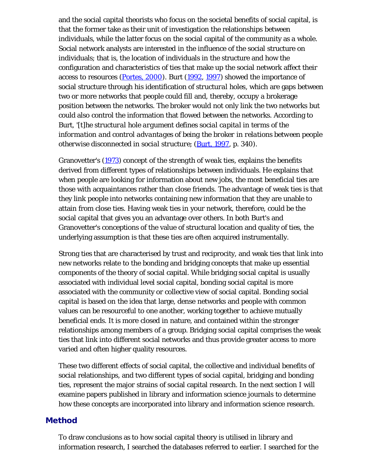and the social capital theorists who focus on the societal benefits of social capital, is that the former take as their unit of investigation the relationships between individuals, while the latter focus on the social capital of the community as a whole. Social network analysts are interested in the influence of the social structure on individuals; that is, the location of individuals in the structure and how the configuration and characteristics of ties that make up the social network affect their access to resources (Portes, 2000). Burt (1992, 1997) showed the importance of social structure through his identification of *structural holes*, which are gaps between two or more networks that people could fill and, thereby, occupy a brokerage position between the networks. The broker would not only link the two networks but could also control the information that flowed between the networks. According to Burt, *'[t]he structural hole argument defines social capital in terms of the information and control advantages of being the broker in relations between people otherwise disconnected in social structure*; (*Burt, 1997*, p. 340).

Granovetter's (1973) concept of the *strength of weak ties*, explains the benefits derived from different types of relationships between individuals. He explains that when people are looking for information about new jobs, the most beneficial ties are those with acquaintances rather than close friends. The advantage of weak ties is that they link people into networks containing new information that they are unable to attain from close ties. Having weak ties in your network, therefore, could be the social capital that gives you an advantage over others. In both Burt's and Granovetter's conceptions of the value of structural location and quality of ties, the underlying assumption is that these ties are often acquired instrumentally.

Strong ties that are characterised by trust and reciprocity, and weak ties that link into new networks relate to the bonding and bridging concepts that make up essential components of the theory of social capital. While bridging social capital is usually associated with individual level social capital, bonding social capital is more associated with the community or collective view of social capital. Bonding social capital is based on the idea that large, dense networks and people with common values can be resourceful to one another, working together to achieve mutually beneficial ends. It is more closed in nature, and contained within the stronger relationships among members of a group. Bridging social capital comprises the weak ties that link into different social networks and thus provide greater access to more varied and often higher quality resources.

These two different effects of social capital, the collective and individual benefits of social relationships, and two different types of social capital, bridging and bonding ties, represent the major strains of social capital research. In the next section I will examine papers published in library and information science journals to determine how these concepts are incorporated into library and information science research.

#### Method

To draw conclusions as to how social capital theory is utilised in library and information research, I searched the databases referred to earlier. I searched for the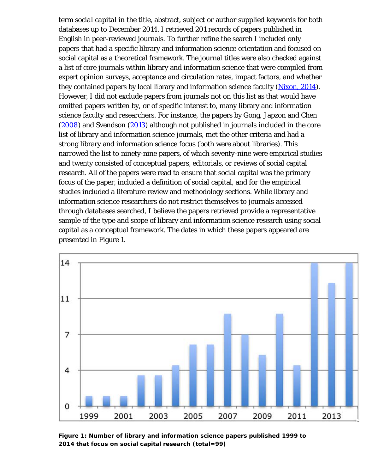term *social capital* in the title, abstract, subject or author supplied keywords for both databases up to December 2014. I retrieved 201 records of papers published in English in peer-reviewed journals. To further refine the search I included only papers that had a specific library and information science orientation and focused on social capital as a theoretical framework. The journal titles were also checked against a list of core journals within library and information science that were compiled from expert opinion surveys, acceptance and circulation rates, impact factors, and whether they contained papers by local library and information science faculty (Nixon, 2014). However, I did not exclude papers from journals not on this list as that would have omitted papers written by, or of specific interest to, many library and information science faculty and researchers. For instance, the papers by Gong, Japzon and Chen (2008) and Svendson (2013) although not published in journals included in the core list of library and information science journals, met the other criteria and had a strong library and information science focus (both were about libraries). This narrowed the list to ninety-nine papers, of which seventy-nine were empirical studies and twenty consisted of conceptual papers, editorials, or reviews of social capital research. All of the papers were read to ensure that social capital was the primary focus of the paper, included a definition of social capital, and for the empirical studies included a literature review and methodology sections. While library and information science researchers do not restrict themselves to journals accessed through databases searched, I believe the papers retrieved provide a representative sample of the type and scope of library and information science research using social capital as a conceptual framework. The dates in which these papers appeared are presented in Figure 1.



**Figure 1: Number of library and information science papers published 1999 to 2014 that focus on social capital research (total=99)**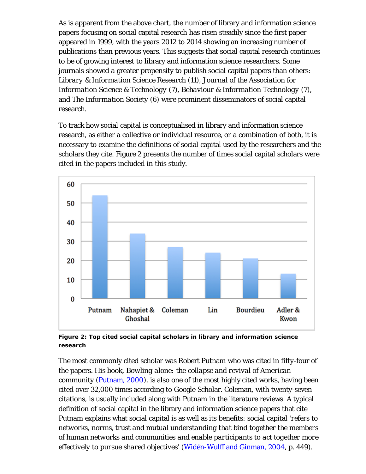As is apparent from the above chart, the number of library and information science papers focusing on social capital research has risen steadily since the first paper appeared in 1999, with the years 2012 to 2014 showing an increasing number of publications than previous years. This suggests that social capital research continues to be of growing interest to library and information science researchers. Some journals showed a greater propensity to publish social capital papers than others: *Library & Information Science Research* (11), *Journal of the Association for Information Science & Technology* (7), *Behaviour & Information Technology* (7), and *The Information Society* (6) were prominent disseminators of social capital research.

To track how social capital is conceptualised in library and information science research, as either a collective or individual resource, or a combination of both, it is necessary to examine the definitions of social capital used by the researchers and the scholars they cite. Figure 2 presents the number of times social capital scholars were cited in the papers included in this study.



**Figure 2: Top cited social capital scholars in library and information science research**

The most commonly cited scholar was Robert Putnam who was cited in fifty-four of the papers. His book, *Bowling alone: the collapse and revival of American community* (*Putnam, 2000*), is also one of the most highly cited works, having been cited over 32,000 times according to Google Scholar. Coleman, with twenty-seven citations, is usually included along with Putnam in the literature reviews. A typical definition of social capital in the library and information science papers that cite Putnam explains what social capital is as well as its benefits: social capital '*refers to networks, norms, trust and mutual understanding that bind together the members of human networks and communities and enable participants to act together more effectively to pursue shared objectives*' (Widén-Wulff and Ginman, 2004, p. 449).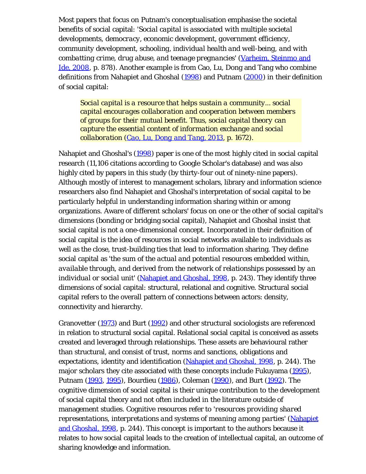Most papers that focus on Putnam's conceptualisation emphasise the societal benefits of social capital: '*Social capital is associated with multiple societal developments, democracy, economic development, government efficiency, community development, schooling, individual health and well-being, and with combatting crime, drug abuse, and teenage pregnancies*' (Varheim, Steinmo and Ide, 2008, p. 878). Another example is from Cao, Lu, Dong and Tang who combine definitions from Nahapiet and Ghoshal (1998) and Putnam (2000) in their definition of social capital:

*Social capital is a resource that helps sustain a community... social capital encourages collaboration and cooperation between members of groups for their mutual benefit. Thus, social capital theory can capture the essential content of information exchange and social collaboration (Cao, Lu, Dong and Tang, 2013, p. 1672).*

Nahapiet and Ghoshal's (1998) paper is one of the most highly cited in social capital research (11,106 citations according to Google Scholar's database) and was also highly cited by papers in this study (by thirty-four out of ninety-nine papers). Although mostly of interest to management scholars, library and information science researchers also find Nahapiet and Ghoshal's interpretation of social capital to be particularly helpful in understanding information sharing within or among organizations. Aware of different scholars' focus on one or the other of social capital's dimensions (bonding or bridging social capital), Nahapiet and Ghoshal insist that social capital is not a one-dimensional concept. Incorporated in their definition of social capital is the idea of resources in social networks available to individuals as well as the close, trust-building ties that lead to information sharing. They define social capital as '*the sum of the actual and potential resources embedded within, available through, and derived from the network of relationships possessed by an individual or social unit*' (Nahapiet and Ghoshal, 1998, p. 243). They identify three dimensions of social capital: structural, relational and cognitive. Structural social capital refers to the overall pattern of connections between actors: density, connectivity and hierarchy.

Granovetter (1973) and Burt (1992) and other structural sociologists are referenced in relation to structural social capital. Relational social capital is conceived as assets created and leveraged through relationships. These assets are behavioural rather than structural, and consist of trust, norms and sanctions, obligations and expectations, identity and identification (Nahapiet and Ghoshal, 1998, p. 244). The major scholars they cite associated with these concepts include Fukuyama (1995), Putnam (1993, 1995), Bourdieu (1986), Coleman (1990), and Burt (1992). The cognitive dimension of social capital is their unique contribution to the development of social capital theory and not often included in the literature outside of management studies. Cognitive resources refer to '*resources providing shared representations, interpretations and systems of meaning among parties*' (Nahapiet and Ghoshal, 1998, p. 244). This concept is important to the authors because it relates to how social capital leads to the creation of intellectual capital, an outcome of sharing knowledge and information.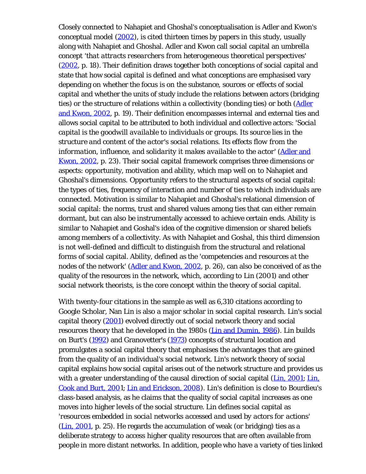Closely connected to Nahapiet and Ghoshal's conceptualisation is Adler and Kwon's conceptual model (2002), is cited thirteen times by papers in this study, usually along with Nahapiet and Ghoshal. Adler and Kwon call social capital an umbrella concept '*that attracts researchers from heterogeneous theoretical perspectives*' (2002, p. 18). Their definition draws together both conceptions of social capital and state that how social capital is defined and what conceptions are emphasised vary depending on whether the focus is on the substance, sources or effects of social capital and whether the units of study include the relations between actors (bridging ties) or the structure of relations within a collectivity (bonding ties) or both (Adler and Kwon, 2002, p. 19). Their definition encompasses internal and external ties and allows social capital to be attributed to both individual and collective actors: '*Social capital is the goodwill available to individuals or groups. Its source lies in the structure and content of the actor's social relations. Its effects flow from the information, influence, and solidarity it makes available to the actor*' (Adler and Kwon, 2002, p. 23). Their social capital framework comprises three dimensions or aspects: opportunity, motivation and ability, which map well on to Nahapiet and Ghoshal's dimensions. Opportunity refers to the structural aspects of social capital: the types of ties, frequency of interaction and number of ties to which individuals are connected. Motivation is similar to Nahapiet and Ghoshal's relational dimension of social capital: the norms, trust and shared values among ties that can either remain dormant, but can also be instrumentally accessed to achieve certain ends. Ability is similar to Nahapiet and Goshal's idea of the cognitive dimension or shared beliefs among members of a collectivity. As with Nahapiet and Goshal, this third dimension is not well-defined and difficult to distinguish from the structural and relational forms of social capital. Ability, defined as the '*competencies and resources at the nodes of the network*' (Adler and Kwon, 2002, p. 26), can also be conceived of as the quality of the resources in the network, which, according to Lin (2001) and other social network theorists, is the core concept within the theory of social capital.

With twenty-four citations in the sample as well as 6,310 citations according to Google Scholar, Nan Lin is also a major scholar in social capital research. Lin's social capital theory (2001) evolved directly out of social network theory and social resources theory that he developed in the 1980s (Lin and Dumin, 1986). Lin builds on Burt's (1992) and Granovetter's (1973) concepts of structural location and promulgates a social capital theory that emphasises the advantages that are gained from the quality of an individual's social network. Lin's network theory of social capital explains how social capital arises out of the network structure and provides us with a greater understanding of the causal direction of social capital (Lin, 2001; Lin, Cook and Burt, 2001; Lin and Erickson, 2008). Lin's definition is close to Bourdieu's class-based analysis, as he claims that the quality of social capital increases as one moves into higher levels of the social structure. Lin defines social capital as '*resources embedded in social networks accessed and used by actors for actions*' (Lin, 2001, p. 25). He regards the accumulation of weak (or bridging) ties as a deliberate strategy to access higher quality resources that are often available from people in more distant networks. In addition, people who have a variety of ties linked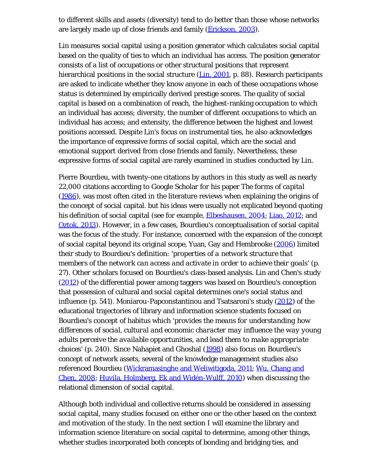to different skills and assets (diversity) tend to do better than those whose networks are largely made up of close friends and family (*Erickson, 2003*).

Lin measures social capital using a position generator which calculates social capital based on the quality of ties to which an individual has access. The position generator consists of a list of occupations or other structural positions that represent hierarchical positions in the social structure (Lin, 2001, p. 88). Research participants are asked to indicate whether they know anyone in each of these occupations whose status is determined by empirically derived prestige scores. The quality of social capital is based on a combination of reach, the highest-ranking occupation to which an individual has access; diversity, the number of different occupations to which an individual has access; and extensity, the difference between the highest and lowest positions accessed. Despite Lin's focus on instrumental ties, he also acknowledges the importance of expressive forms of social capital, which are the social and emotional support derived from close friends and family. Nevertheless, these expressive forms of social capital are rarely examined in studies conducted by Lin.

Pierre Bourdieu, with twenty-one citations by authors in this study as well as nearly 22,000 citations according to Google Scholar for his paper *The forms of capital* (1986), was most often cited in the literature reviews when explaining the origins of the concept of social capital. but his ideas were usually not explicated beyond quoting his definition of social capital (see for example, **Elbeshausen**, 2004; Liao, 2012; and Oztok, 2013). However, in a few cases, Bourdieu's conceptualisation of social capital was the focus of the study. For instance, concerned with the expansion of the concept of social capital beyond its original scope, Yuan, Gay and Hembrooke (2006) limited their study to Bourdieu's definition: '*properties of a network structure that members of the network can access and activate in order to achieve their goals*' (p. 27). Other scholars focused on Bourdieu's class-based analysis. Lin and Chen's study (2012) of the differential power among taggers was based on Bourdieu's conception that possession of cultural and social capital determines one's social status and influence (p. 541). Moniarou-Papconstantinou and Tsatsaroni's study (2012) of the educational trajectories of library and information science students focused on Bourdieu's concept of habitus which '*provides the means for understanding how differences of social, cultural and economic character may influence the way young adults perceive the available opportunities, and lead them to make appropriate choices*' (p. 240). Since Nahapiet and Ghoshal (1998) also focus on Bourdieu's concept of network assets, several of the knowledge management studies also referenced Bourdieu (Wickramasinghe and Weliwitigoda, 2011; Wu, Chang and Chen, 2008; Huvila, Holmberg, Ek and Widén-Wulff, 2010) when discussing the relational dimension of social capital.

Although both individual and collective returns should be considered in assessing social capital, many studies focused on either one or the other based on the context and motivation of the study. In the next section I will examine the library and information science literature on social capital to determine, among other things, whether studies incorporated both concepts of bonding and bridging ties, and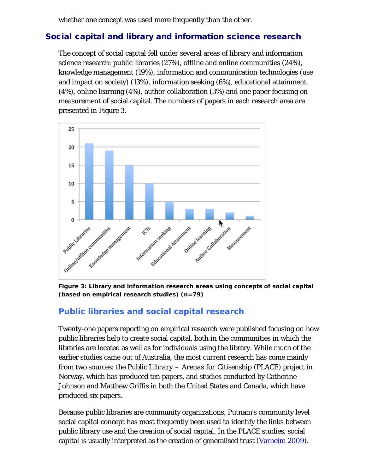whether one concept was used more frequently than the other.

# Social capital and library and information science research

The concept of social capital fell under several areas of library and information science research: public libraries (27%), offline and online communities (24%), knowledge management (19%), information and communication technologies (use and impact on society) (13%), information seeking (6%), educational attainment (4%), online learning (4%), author collaboration (3%) and one paper focusing on measurement of social capital. The numbers of papers in each research area are presented in Figure 3.



**Figure 3: Library and information research areas using concepts of social capital (based on empirical research studies) (n=79)**

# **Public libraries and social capital research**

Twenty-one papers reporting on empirical research were published focusing on how public libraries help to create social capital, both in the communities in which the libraries are located as well as for individuals using the library. While much of the earlier studies came out of Australia, the most current research has come mainly from two sources: the *Public Library – Arenas for Citisenship (PLACE)* project in Norway, which has produced ten papers, and studies conducted by Catherine Johnson and Matthew Griffis in both the United States and Canada, which have produced six papers.

Because public libraries are community organizations, Putnam's community level social capital concept has most frequently been used to identify the links between public library use and the creation of social capital. In the PLACE studies, social capital is usually interpreted as the creation of generalised trust (Varheim 2009).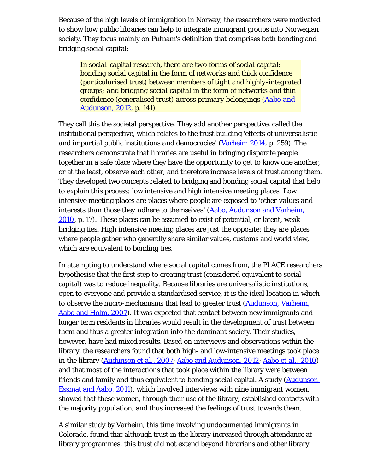Because of the high levels of immigration in Norway, the researchers were motivated to show how public libraries can help to integrate immigrant groups into Norwegian society. They focus mainly on Putnam's definition that comprises both bonding and bridging social capital:

*In social-capital research, there are two forms of social capital: bonding social capital in the form of networks and thick confidence (particularised trust) between members of tight and highly-integrated groups; and bridging social capital in the form of networks and thin confidence (generalised trust) across primary belongings (Aabo and Audunson, 2012, p. 141).*

They call this the societal perspective. They add another perspective, called the institutional perspective, which relates to the trust building '*effects of universalistic and impartial public institutions and democracies*' (Varheim 2014, p. 259). The researchers demonstrate that libraries are useful in bringing disparate people together in a safe place where they have the opportunity to get to know one another, or at the least, observe each other, and therefore increase levels of trust among them. They developed two concepts related to bridging and bonding social capital that help to explain this process: low intensive and high intensive meeting places. Low intensive meeting places are places where people are exposed to '*other values and interests than those they adhere to themselves*' (Aabo, Audunson and Varheim, 2010, p. 17). These places can be assumed to exist of potential, or latent, weak bridging ties. High intensive meeting places are just the opposite: they are places where people gather who generally share similar values, customs and world view, which are equivalent to bonding ties.

In attempting to understand where social capital comes from, the PLACE researchers hypothesise that the first step to creating trust (considered equivalent to social capital) was to reduce inequality. Because libraries are universalistic institutions, open to everyone and provide a standardised service, it is the ideal location in which to observe the micro-mechanisms that lead to greater trust (Audunson, Varheim, Aabo and Holm, 2007). It was expected that contact between new immigrants and longer term residents in libraries would result in the development of trust between them and thus a greater integration into the dominant society. Their studies, however, have had mixed results. Based on interviews and observations within the library, the researchers found that both high- and low-intensive meetings took place in the library (Audunson *et al.*, 2007; Aabo and Audunson, 2012; Aabo *et al.*, 2010) and that most of the interactions that took place within the library were between friends and family and thus equivalent to bonding social capital. A study (**Audunson**, Essmat and Aabo, 2011), which involved interviews with nine immigrant women, showed that these women, through their use of the library, established contacts with the majority population, and thus increased the feelings of trust towards them.

A similar study by Varheim, this time involving undocumented immigrants in Colorado, found that although trust in the library increased through attendance at library programmes, this trust did not extend beyond librarians and other library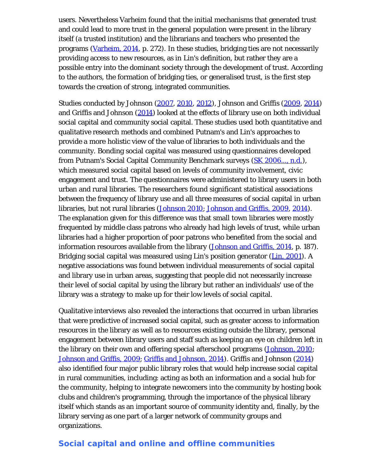users. Nevertheless Varheim found that the initial mechanisms that generated trust and could lead to more trust in the general population were present in the library itself (a trusted institution) and the librarians and teachers who presented the programs (Varheim, 2014, p. 272). In these studies, bridging ties are not necessarily providing access to new resources, as in Lin's definition, but rather they are a possible entry into the dominant society through the development of trust. According to the authors, the formation of bridging ties, or generalised trust, is the first step towards the creation of strong, integrated communities.

Studies conducted by Johnson (2007, 2010, 2012), Johnson and Griffis (2009, 2014) and Griffis and Johnson (2014) looked at the effects of library use on both individual social capital and community social capital. These studies used both quantitative and qualitative research methods and combined Putnam's and Lin's approaches to provide a more holistic view of the value of libraries to both individuals and the community. Bonding social capital was measured using questionnaires developed from Putnam's Social Capital Community Benchmark surveys (SK 2006..., n.d.), which measured social capital based on levels of community involvement, civic engagement and trust. The questionnaires were administered to library users in both urban and rural libraries. The researchers found significant statistical associations between the frequency of library use and all three measures of social capital in urban libraries, but not rural libraries (Johnson 2010; Johnson and Griffis, 2009, 2014). The explanation given for this difference was that small town libraries were mostly frequented by middle class patrons who already had high levels of trust, while urban libraries had a higher proportion of poor patrons who benefited from the social and information resources available from the library (Johnson and Griffis, 2014, p. 187). Bridging social capital was measured using Lin's position generator (Lin, 2001). A negative associations was found between individual measurements of social capital and library use in urban areas, suggesting that people did not necessarily increase their level of social capital by using the library but rather an individuals' use of the library was a strategy to make up for their low levels of social capital.

Qualitative interviews also revealed the interactions that occurred in urban libraries that were predictive of increased social capital, such as greater access to information resources in the library as well as to resources existing outside the library, personal engagement between library users and staff such as keeping an eye on children left in the library on their own and offering special afterschool programs (Johnson, 2010; Johnson and Griffis, 2009; Griffis and Johnson, 2014). Griffis and Johnson (2014) also identified four major public library roles that would help increase social capital in rural communities, including: acting as both an information and a social hub for the community, helping to integrate newcomers into the community by hosting book clubs and children's programming, through the importance of the physical library itself which stands as an important source of community identity and, finally, by the library serving as one part of a larger network of community groups and organizations.

#### **Social capital and online and offline communities**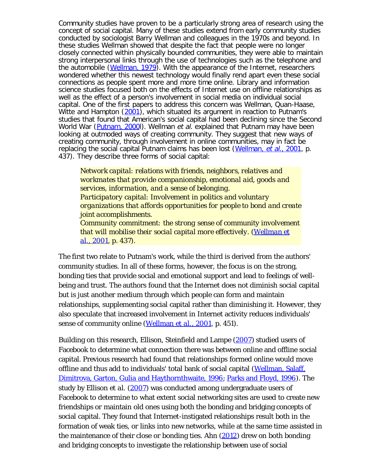Community studies have proven to be a particularly strong area of research using the concept of social capital. Many of these studies extend from early community studies conducted by sociologist Barry Wellman and colleagues in the 1970s and beyond. In these studies Wellman showed that despite the fact that people were no longer closely connected within physically bounded communities, they were able to maintain strong interpersonal links through the use of technologies such as the telephone and the automobile (Wellman, 1979). With the appearance of the Internet, researchers wondered whether this newest technology would finally rend apart even these social connections as people spent more and more time online. Library and information science studies focused both on the effects of Internet use on offline relationships as well as the effect of a person's involvement in social media on individual social capital. One of the first papers to address this concern was Wellman, Quan-Haase, Witte and Hampton (2001), which situated its argument in reaction to Putnam's studies that found that American's social capital had been declining since the Second World War (*Putnam, 2000*I). Wellman et al. explained that Putnam may have been looking at outmoded ways of creating community. They suggest that new ways of creating community, through involvement in online communities, may in fact be replacing the social capital Putnam claims has been lost (Wellman, et al., 2001, p. 437). They describe three forms of social capital:

*Network capital: relations with friends, neighbors, relatives and workmates that provide companionship, emotional aid, goods and services, information, and a sense of belonging. Participatory capital: Involvement in politics and voluntary organizations that affords opportunities for people to bond and create joint accomplishments. Community commitment: the strong sense of community involvement that will mobilise their social capital more effectively. (Wellman et al., 2001, p. 437).*

The first two relate to Putnam's work, while the third is derived from the authors' community studies. In all of these forms, however, the focus is on the strong, bonding ties that provide social and emotional support and lead to feelings of wellbeing and trust. The authors found that the Internet does not diminish social capital but is just another medium through which people can form and maintain relationships, supplementing social capital rather than diminishing it. However, they also speculate that increased involvement in Internet activity reduces individuals' sense of community online (Wellman *et al.*, 2001, p. 451).

Building on this research, Ellison, Steinfield and Lampe (2007) studied users of Facebook to determine what connection there was between online and offline social capital. Previous research had found that relationships formed online would move offline and thus add to individuals' total bank of social capital (Wellman, Salaff, Dimitrova, Garton, Gulia and Haythornthwaite, 1996; Parks and Floyd, 1996). The study by Ellison *et al.* (2007) was conducted among undergraduate users of Facebook to determine to what extent social networking sites are used to create new friendships or maintain old ones using both the bonding and bridging concepts of social capital. They found that Internet-instigated relationships result both in the formation of weak ties, or links into new networks, while at the same time assisted in the maintenance of their close or bonding ties. Ahn (2012) drew on both bonding and bridging concepts to investigate the relationship between use of social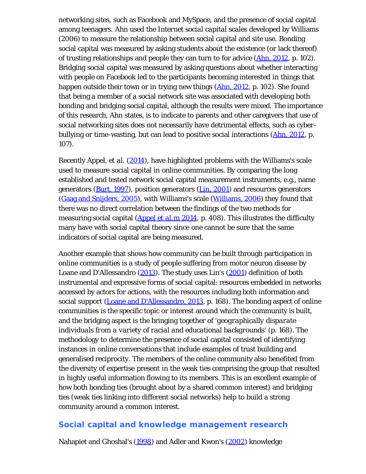networking sites, such as Facebook and MySpace, and the presence of social capital among teenagers. Ahn used the *Internet social capital scales* developed by Williams (2006) to measure the relationship between social capital and site use. Bonding social capital was measured by asking students about the existence (or lack thereof) of trusting relationships and people they can turn to for advice (Ahn, 2012, p. 102). Bridging social capital was measured by asking questions about whether interacting with people on Facebook led to the participants becoming interested in things that happen outside their town or in trying new things (Ahn, 2012, p. 102). She found that being a member of a social network site was associated with developing both bonding and bridging social capital, although the results were mixed. The importance of this research, Ahn states, is to indicate to parents and other caregivers that use of social networking sites does not necessarily have detrimental effects, such as cyberbullying or time-wasting, but can lead to positive social interactions (Ahn, 2012, p. 107).

Recently Appel, *et al.* (2014), have highlighted problems with the Williams's scale used to measure social capital in online communities. By comparing the long established and tested network social capital measurement instruments, e.g., name generators  $(Burt, 1997)$ , position generators  $(Lin, 2001)$  and resources generators (Gaag and Snijders, 2005), with Williams's scale (Williams, 2006) they found that there was no direct correlation between the findings of the two methods for measuring social capital (Appel *et al.*m 2014, p. 408). This illustrates the difficulty many have with social capital theory since one cannot be sure that the same indicators of social capital are being measured.

Another example that shows how community can be built through participation in online communities is a study of people suffering from motor neuron disease by Loane and D'Allessandro (2013). The study uses Lin's (2001) definition of both instrumental and expressive forms of social capital: resources embedded in networks accessed by actors for actions, with the resources including both information and social support (Loane and D'Allessandro, 2013, p. 168). The bonding aspect of online communities is the specific topic or interest around which the community is built, and the bridging aspect is the bringing together of '*geographically disparate individuals from a variety of racial and educational backgrounds*' (p. 168). The methodology to determine the presence of social capital consisted of identifying instances in online conversations that include examples of trust building and generalised reciprocity. The members of the online community also benefited from the diversity of expertise present in the weak ties comprising the group that resulted in highly useful information flowing to its members. This is an excellent example of how both bonding ties (brought about by a shared common interest) and bridging ties (weak ties linking into different social networks) help to build a strong community around a common interest.

# **Social capital and knowledge management research**

Nahapiet and Ghoshal's (1998) and Adler and Kwon's (2002) knowledge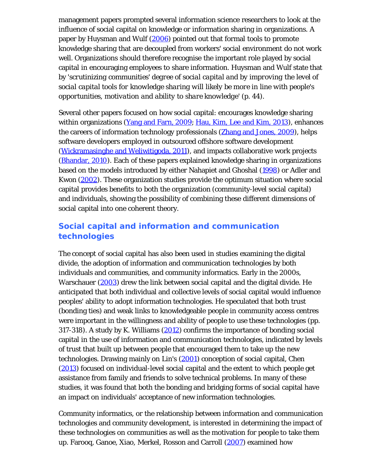management papers prompted several information science researchers to look at the influence of social capital on knowledge or information sharing in organizations. A paper by Huysman and Wulf (2006) pointed out that formal tools to promote knowledge sharing that are decoupled from workers' social environment do not work well. Organizations should therefore recognise the important role played by social capital in encouraging employees to share information. Huysman and Wulf state that by '*scrutinizing communities' degree of social capital and by improving the level of social capital tools for knowledge sharing will likely be more in line with people's opportunities, motivation and ability to share knowledge*' (p. 44).

Several other papers focused on how social capital: encourages knowledge sharing within organizations (Yang and Farn, 2009; Hau, Kim, Lee and Kim, 2013), enhances the careers of information technology professionals (Zhang and Jones, 2009), helps software developers employed in outsourced offshore software development (Wickramasinghe and Weliwitigoda, 2011), and impacts collaborative work projects (Bhandar, 2010). Each of these papers explained knowledge sharing in organizations based on the models introduced by either Nahapiet and Ghoshal (1998) or Adler and Kwon (2002). These organization studies provide the optimum situation where social capital provides benefits to both the organization (community-level social capital) and individuals, showing the possibility of combining these different dimensions of social capital into one coherent theory.

# **Social capital and information and communication technologies**

The concept of social capital has also been used in studies examining the digital divide, the adoption of information and communication technologies by both individuals and communities, and community informatics. Early in the 2000s, Warschauer (2003) drew the link between social capital and the digital divide. He anticipated that both individual and collective levels of social capital would influence peoples' ability to adopt information technologies. He speculated that both trust (bonding ties) and weak links to knowledgeable people in community access centres were important in the willingness and ability of people to use these technologies (pp. 317-318). A study by K. Williams (2012) confirms the importance of bonding social capital in the use of information and communication technologies, indicated by levels of trust that built up between people that encouraged them to take up the new technologies. Drawing mainly on Lin's (2001) conception of social capital, Chen (2013) focused on individual-level social capital and the extent to which people get assistance from family and friends to solve technical problems. In many of these studies, it was found that both the bonding and bridging forms of social capital have an impact on individuals' acceptance of new information technologies.

Community informatics, or the relationship between information and communication technologies and community development, is interested in determining the impact of these technologies on communities as well as the motivation for people to take them up. Farooq, Ganoe, Xiao, Merkel, Rosson and Carroll (2007) examined how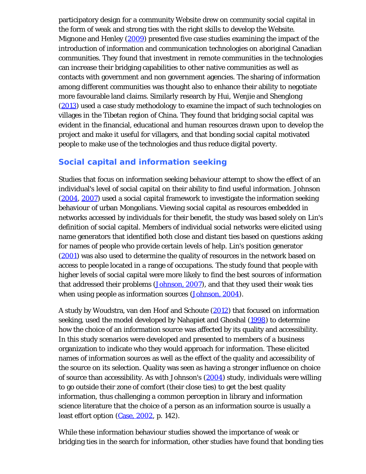participatory design for a community Website drew on community social capital in the form of weak and strong ties with the right skills to develop the Website. Mignone and Henley (2009) presented five case studies examining the impact of the introduction of information and communication technologies on aboriginal Canadian communities. They found that investment in remote communities in the technologies can increase their bridging capabilities to other native communities as well as contacts with government and non government agencies. The sharing of information among different communities was thought also to enhance their ability to negotiate more favourable land claims. Similarly research by Hui, Wenjie and Shenglong (2013) used a case study methodology to examine the impact of such technologies on villages in the Tibetan region of China. They found that bridging social capital was evident in the financial, educational and human resources drawn upon to develop the project and make it useful for villagers, and that bonding social capital motivated people to make use of the technologies and thus reduce digital poverty.

# **Social capital and information seeking**

Studies that focus on information seeking behaviour attempt to show the effect of an individual's level of social capital on their ability to find useful information. Johnson (2004, 2007) used a social capital framework to investigate the information seeking behaviour of urban Mongolians. Viewing social capital as resources embedded in networks accessed by individuals for their benefit, the study was based solely on Lin's definition of social capital. Members of individual social networks were elicited using name generators that identified both close and distant ties based on questions asking for names of people who provide certain levels of help. Lin's position generator (2001) was also used to determine the quality of resources in the network based on access to people located in a range of occupations. The study found that people with higher levels of social capital were more likely to find the best sources of information that addressed their problems (Johnson, 2007), and that they used their weak ties when using people as information sources (Johnson, 2004).

A study by Woudstra, van den Hoof and Schoute (2012) that focused on information seeking, used the model developed by Nahapiet and Ghoshal (1998) to determine how the choice of an information source was affected by its quality and accessibility. In this study scenarios were developed and presented to members of a business organization to indicate who they would approach for information. These elicited names of information sources as well as the effect of the quality and accessibility of the source on its selection. Quality was seen as having a stronger influence on choice of source than accessibility. As with Johnson's (2004) study, individuals were willing to go outside their zone of comfort (their close ties) to get the best quality information, thus challenging a common perception in library and information science literature that the choice of a person as an information source is usually a least effort option (Case, 2002, p. 142).

While these information behaviour studies showed the importance of weak or bridging ties in the search for information, other studies have found that bonding ties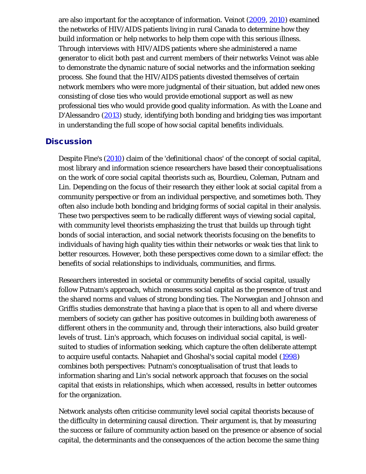are also important for the acceptance of information. Veinot (2009, 2010) examined the networks of HIV/AIDS patients living in rural Canada to determine how they build information or help networks to help them cope with this serious illness. Through interviews with HIV/AIDS patients where she administered a name generator to elicit both past and current members of their networks Veinot was able to demonstrate the dynamic nature of social networks and the information seeking process. She found that the HIV/AIDS patients divested themselves of certain network members who were more judgmental of their situation, but added new ones consisting of close ties who would provide emotional support as well as new professional ties who would provide good quality information. As with the Loane and D'Alessandro (2013) study, identifying both bonding and bridging ties was important in understanding the full scope of how social capital benefits individuals.

#### **Discussion**

Despite Fine's (2010) claim of the '*definitional chaos*' of the concept of social capital, most library and information science researchers have based their conceptualisations on the work of core social capital theorists such as, Bourdieu, Coleman, Putnam and Lin. Depending on the focus of their research they either look at social capital from a community perspective or from an individual perspective, and sometimes both. They often also include both bonding and bridging forms of social capital in their analysis. These two perspectives seem to be radically different ways of viewing social capital, with community level theorists emphasizing the trust that builds up through tight bonds of social interaction, and social network theorists focusing on the benefits to individuals of having high quality ties within their networks or weak ties that link to better resources. However, both these perspectives come down to a similar effect: the benefits of social relationships to individuals, communities, and firms.

Researchers interested in societal or community benefits of social capital, usually follow Putnam's approach, which measures social capital as the presence of trust and the shared norms and values of strong bonding ties. The Norwegian and Johnson and Griffis studies demonstrate that having a place that is open to all and where diverse members of society can gather has positive outcomes in building both awareness of different others in the community and, through their interactions, also build greater levels of trust. Lin's approach, which focuses on individual social capital, is wellsuited to studies of information seeking, which capture the often deliberate attempt to acquire useful contacts. Nahapiet and Ghoshal's social capital model (1998) combines both perspectives: Putnam's conceptualisation of trust that leads to information sharing and Lin's social network approach that focuses on the social capital that exists in relationships, which when accessed, results in better outcomes for the organization.

Network analysts often criticise community level social capital theorists because of the difficulty in determining causal direction. Their argument is, that by measuring the success or failure of community action based on the presence or absence of social capital, the determinants and the consequences of the action become the same thing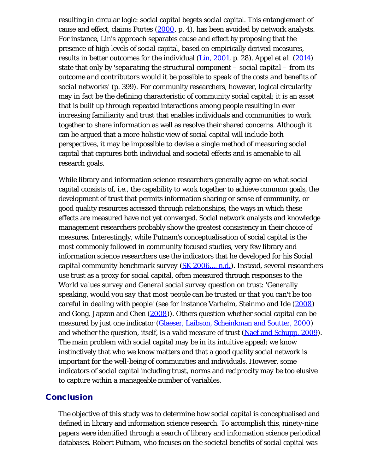resulting in circular logic: social capital begets social capital. This entanglement of cause and effect, claims Portes (2000, p. 4), has been avoided by network analysts. For instance, Lin's approach separates cause and effect by proposing that the presence of high levels of social capital, based on empirically derived measures, results in better outcomes for the individual (Lin, 2001, p. 28). Appel *et al*. (2014) state that only by '*separating the structural component – social capital – from its outcome and contributors would it be possible to speak of the costs and benefits of social networks*' (p. 399). For community researchers, however, logical circularity may in fact be the defining characteristic of community social capital; it is an asset that is built up through repeated interactions among people resulting in ever increasing familiarity and trust that enables individuals and communities to work together to share information as well as resolve their shared concerns. Although it can be argued that a more holistic view of social capital will include both perspectives, it may be impossible to devise a single method of measuring social capital that captures both individual and societal effects and is amenable to all research goals.

While library and information science researchers generally agree on what social capital consists of, i.e., the capability to work together to achieve common goals, the development of trust that permits information sharing or sense of community, or good quality resources accessed through relationships, the ways in which these effects are measured have not yet converged. Social network analysts and knowledge management researchers probably show the greatest consistency in their choice of measures. Interestingly, while Putnam's conceptualisation of social capital is the most commonly followed in community focused studies, very few library and information science researchers use the indicators that he developed for his *Social capital community benchmark survey* (SK 2006..., n.d.). Instead, several researchers use trust as a proxy for social capital, often measured through responses to the *World values survey* and *General social survey* question on trust: '*Generally speaking, would you say that most people can be trusted or that you can't be too careful in dealing with people*' (see for instance Varheim, Steinmo and Ide (2008) and Gong, Japzon and Chen  $(2008)$ . Others question whether social capital can be measured by just one indicator (Glaeser, Laibson, Scheinkman and Soutter, 2000) and whether the question, itself, is a valid measure of trust (Naef and Schupp, 2009). The main problem with social capital may be in its intuitive appeal; we know instinctively that who we know matters and that a good quality social network is important for the well-being of communities and individuals. However, some indicators of social capital including trust, norms and reciprocity may be too elusive to capture within a manageable number of variables.

#### **Conclusion**

The objective of this study was to determine how social capital is conceptualised and defined in library and information science research. To accomplish this, ninety-nine papers were identified through a search of library and information science periodical databases. Robert Putnam, who focuses on the societal benefits of social capital was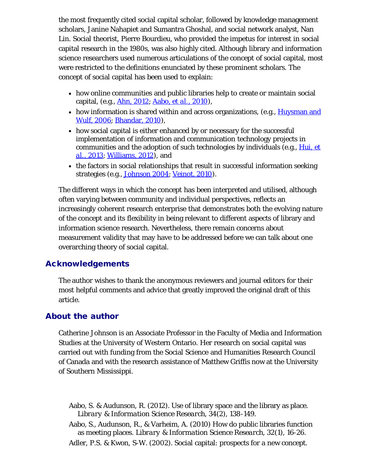the most frequently cited social capital scholar, followed by knowledge management scholars, Janine Nahapiet and Sumantra Ghoshal, and social network analyst, Nan Lin. Social theorist, Pierre Bourdieu, who provided the impetus for interest in social capital research in the 1980s, was also highly cited. Although library and information science researchers used numerous articulations of the concept of social capital, most were restricted to the definitions enunciated by these prominent scholars. The concept of social capital has been used to explain:

- how online communities and public libraries help to create or maintain social capital, (e.g., Ahn, 2012; Aabo, *et al.*, 2010),
- how information is shared within and across organizations, (e.g., Huysman and Wulf, 2006; Bhandar, 2010),
- how social capital is either enhanced by or necessary for the successful implementation of information and communication technology projects in communities and the adoption of such technologies by individuals (e.g., Hui, *et al.*, 2013; Williams, 2012), and
- the factors in social relationships that result in successful information seeking strategies (e.g., Johnson 2004; Veinot, 2010).

The different ways in which the concept has been interpreted and utilised, although often varying between community and individual perspectives, reflects an increasingly coherent research enterprise that demonstrates both the evolving nature of the concept and its flexibility in being relevant to different aspects of library and information science research. Nevertheless, there remain concerns about measurement validity that may have to be addressed before we can talk about one overarching theory of social capital.

#### Acknowledgements

The author wishes to thank the anonymous reviewers and journal editors for their most helpful comments and advice that greatly improved the original draft of this article.

#### About the author

Catherine Johnson is an Associate Professor in the Faculty of Media and Information Studies at the University of Western Ontario. Her research on social capital was carried out with funding from the Social Science and Humanities Research Council of Canada and with the research assistance of Matthew Griffis now at the University of Southern Mississippi.

- Aabo, S. & Audunson, R. (2012). Use of library space and the library as place. *Library & Information Science Research, 34*(2), 138-149.
- Aabo, S., Audunson, R., & Varheim, A. (2010) How do public libraries function as meeting places. *Library & Information Science Research, 32*(1), 16-26.

Adler, P.S. & Kwon, S-W. (2002). Social capital: prospects for a new concept.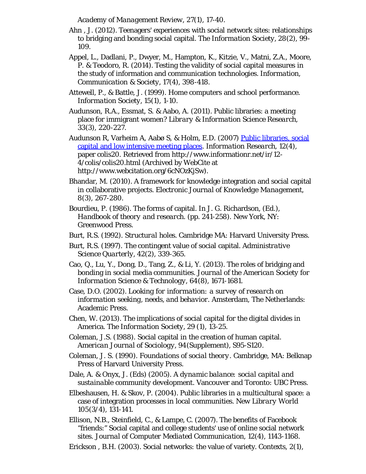*Academy of Management Review, 27*(1), 17-40.

- Ahn , J. (2012). Teenagers' experiences with social network sites: relationships to bridging and bonding social capital. *The Information Society, 28*(2), 99- 109.
- Appel, L., Dadlani, P., Dwyer, M., Hampton, K., Kitzie, V., Matni, Z.A., Moore, P. & Teodoro, R. (2014). Testing the validity of social capital measures in the study of information and communication technologies. *Information, Communication & Society, 17*(4), 398-418.
- Attewell, P., & Battle, J. (1999). Home computers and school performance. *Information Society, 15*(1), 1-10.
- Audunson, R.A., Essmat, S. & Aabo, A. (2011). Public libraries: a meeting place for immigrant women? *Library & Information Science Research, 33*(3), 220-227.
- Audunson R, Varheim A, Aabø S, & Holm, E.D. (2007) [Public libraries, social](http://www.webcitation.org/6cNOzKjSw) [capital and low intensive meeting places](http://www.webcitation.org/6cNOzKjSw). *Information Research, 12*(4), paper colis20. Retrieved from http://www.informationr.net/ir/12- 4/colis/colis20.html (Archived by WebCite at http://www.webcitation.org/6cNOzKjSw).
- Bhandar, M. (2010). A framework for knowledge integration and social capital in collaborative projects. *Electronic Journal of Knowledge Management, 8*(3), 267-280.
- Bourdieu, P. (1986). The forms of capital. In J. G. Richardson, (Ed.), *Handbook of theory and research.* (pp. 241-258). New York, NY: Greenwood Press.
- Burt, R.S. (1992). *Structural holes.* Cambridge MA: Harvard University Press.
- Burt, R.S. (1997). The contingent value of social capital. *Administrative Science Quarterly, 42*(2), 339-365.
- Cao, Q., Lu, Y., Dong, D., Tang, Z., & Li, Y. (2013). The roles of bridging and bonding in social media communities. *Journal of the American Society for Information Science & Technology, 64*(8), 1671-1681.
- Case, D.O. (2002). *Looking for information: a survey of research on information seeking, needs, and behavior.* Amsterdam, The Netherlands: Academic Press.
- Chen, W. (2013). The implications of social capital for the digital divides in America. *The Information Society, 29* (1), 13-25.
- Coleman, J.S. (1988). Social capital in the creation of human capital. *American Journal of Sociology, 94*(Supplement), S95-S120.
- Coleman, J. S. (1990). *Foundations of social theory*. Cambridge, MA: Belknap Press of Harvard University Press.
- Dale, A. & Onyx, J. (Eds) (2005). *A dynamic balance: social capital and sustainable community development*. Vancouver and Toronto: UBC Press.
- Elbeshausen, H. & Skov, P. (2004). Public libraries in a multicultural space: a case of integration processes in local communities. *New Library World 105*(3/4), 131-141.
- Ellison, N.B., Steinfield, C., & Lampe, C. (2007). The benefits of Facebook "friends:" Social capital and college students' use of online social network sites. *Journal of Computer Mediated Communication, 12*(4), 1143-1168.
- Erickson , B.H. (2003). Social networks: the value of variety. *Contexts, 2*(1),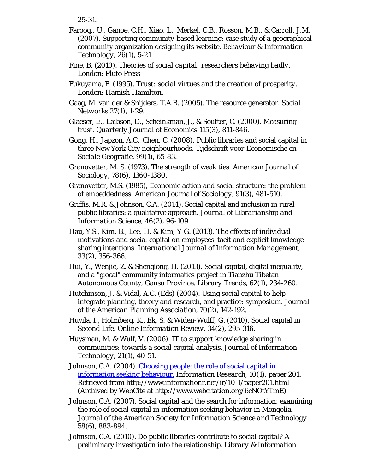25-31.

- Farooq., U., Ganoe, C.H., Xiao. L., Merkel, C.B., Rosson, M.B., & Carroll, J.M. (2007). Supporting community-based learning: case study of a geographical community organization designing its website. *Behaviour & Information Technology, 26*(1), 5-21
- Fine, B. (2010). *Theories of social capital: researchers behaving badly.* London: Pluto Press
- Fukuyama, F. (1995). *Trust: social virtues and the creation of prosperity.* London: Hamish Hamilton.
- Gaag, M. van der & Snijders, T.A.B. (2005). The resource generator. *Social Networks 2*7(1), 1-29.
- Glaeser, E., Laibson, D., Scheinkman, J., & Soutter, C. (2000). Measuring trust. *Quarterly Journal of Economics 115*(3), 811-846.
- Gong, H., Japzon, A.C., Chen, C. (2008). Public libraries and social capital in three New York City neighbourhoods. *Tijdschrift voor Economische en Sociale Geografie, 99*(1), 65-83.
- Granovetter, M. S. (1973). The strength of weak ties. *American Journal of Sociology, 78*(6), 1360-1380.
- Granovetter, M.S. (1985), Economic action and social structure: the problem of embeddedness. *American Journal of Sociology, 91*(3), 481-510.
- Griffis, M.R. & Johnson, C.A. (2014). Social capital and inclusion in rural public libraries: a qualitative approach. *Journal of Librarianship and Information Science, 46*(2), 96-109
- Hau, Y.S., Kim, B., Lee, H. & Kim, Y-G. (2013). The effects of individual motivations and social capital on employees' tacit and explicit knowledge sharing intentions. *International Journal of Information Management, 33*(2), 356-366.
- Hui, Y., Wenjie, Z. & Shenglong, H. (2013). Social capital, digital inequality, and a "glocal" community informatics project in Tianzhu Tibetan Autonomous County, Gansu Province. *Library Trends, 62*(1), 234-260.
- Hutchinson, J. & Vidal, A.C. (Eds) (2004). Using social capital to help integrate planning, theory and research, and practice: symposium. *Journal of the American Planning Association, 70*(2), 142-192.
- Huvila, I., Holmberg, K., Ek, S. & Widen-Wulff, G. (2010). Social capital in Second Life. *Online Information Review, 34*(2), 295-316.
- Huysman, M. & Wulf, V. (2006). IT to support knowledge sharing in communities: towards a social capital analysis. *Journal of Information Technology, 21*(1), 40-51.
- Johnson, C.A. (2004). [Choosing people: the role of social capital in](http://www.webcitation.org/6cNOtYTmE) [information seeking behaviour.](http://www.webcitation.org/6cNOtYTmE) *Information Research, 10*(1), paper 201. Retrieved from http://www.informationr.net/ir/10-1/paper201.html (Archived by WebCite at http://www.webcitation.org/6cNOtYTmE)
- Johnson, C.A. (2007). Social capital and the search for information: examining the role of social capital in information seeking behavior in Mongolia. *Journal of the American Society for Information Science and Technology 58*(6), 883-894.
- Johnson, C.A. (2010). Do public libraries contribute to social capital? A preliminary investigation into the relationship. *Library & Information*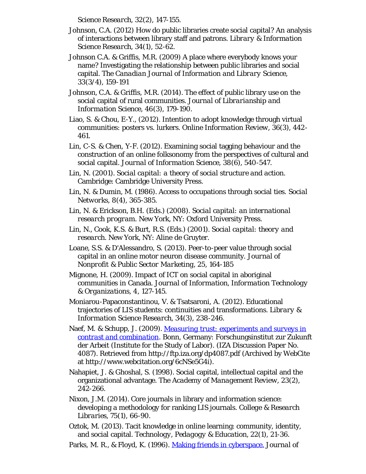*Science Research, 32*(2), 147-155.

- Johnson, C.A. (2012) How do public libraries create social capital? An analysis of interactions between library staff and patrons. *Library & Information Science Research, 34*(1), 52-62.
- Johnson C.A. & Griffis, M.R. (2009) A place where everybody knows your name? Investigating the relationship between public libraries and social capital. *The Canadian Journal of Information and Library Science, 33*(3/4), 159-191
- Johnson, C.A. & Griffis, M.R. (2014). The effect of public library use on the social capital of rural communities. *Journal of Librarianship and Information Science, 46*(3), 179-190.
- Liao, S. & Chou, E-Y., (2012). Intention to adopt knowledge through virtual communities: posters vs. lurkers. *Online Information Review, 36*(3), 442- 461.
- Lin, C-S. & Chen, Y-F. (2012). Examining social tagging behaviour and the construction of an online folksonomy from the perspectives of cultural and social capital. *Journal of Information Science, 38*(6), 540-547.
- Lin, N. (2001). *Social capital: a theory of social structure and action.* Cambridge: Cambridge University Press.
- Lin, N. & Dumin, M. (1986). Access to occupations through social ties. *Social Networks, 8*(4), 365-385.
- Lin, N. & Erickson, B.H. (Eds.) (2008). *Social capital: an international research program.* New York, NY: Oxford University Press.
- Lin, N., Cook, K.S. & Burt, R.S. (Eds.) (2001). *Social capital: theory and research.* New York, NY: Aline de Gruyter.
- Loane, S.S. & D'Alessandro, S. (2013). Peer-to-peer value through social capital in an online motor neuron disease community. *Journal of Nonprofit & Public Sector Marketing, 25*, 164-185
- Mignone, H. (2009). Impact of ICT on social capital in aboriginal communities in Canada. *Journal of Information, Information Technology & Organizations, 4*, 127-145.
- Moniarou-Papaconstantinou, V. & Tsatsaroni, A. (2012). Educational trajectories of LIS students: continuities and transformations. *Library & Information Science Research, 34*(3), 238-246.
- Naef, M. & Schupp, J. (2009). *[Measuring trust: experiments and surveys in](http://www.webcitation.org/6cNSe5G4i) [contrast and combination](http://www.webcitation.org/6cNSe5G4i)*. Bonn, Germany: Forschungsinstitut zur Zukunft der Arbeit (Institute for the Study of Labor). (IZA Discussion Paper No. 4087). Retrieved from http://ftp.iza.org/dp4087.pdf (Archived by WebCite at http://www.webcitation.org/6cNSe5G4i).
- Nahapiet, J. & Ghoshal, S. (1998). Social capital, intellectual capital and the organizational advantage. *The Academy of Management Review, 23*(2), 242-266.
- Nixon, J.M. (2014). Core journals in library and information science: developing a methodology for ranking LIS journals. *College & Research Libraries, 75*(1), 66-90.
- Oztok, M. (2013). Tacit knowledge in online learning: community, identity, and social capital. *Technology, Pedagogy & Education, 22*(1), 21-36.
- Parks, M. R., & Floyd, K. (1996). [Making friends in cyberspace.](http://www.webcitation.org/6cNPnheDh) *Journal of*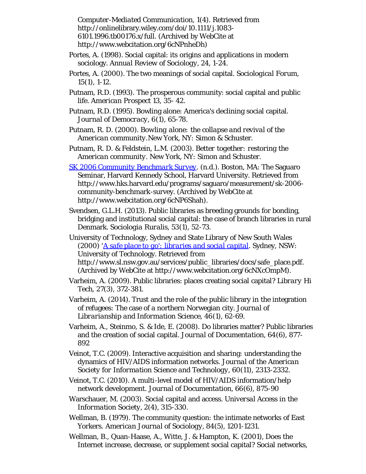*Computer-Mediated Communication, 1*(4). Retrieved from http://onlinelibrary.wiley.com/doi/10.1111/j.1083- 6101.1996.tb00176.x/full. (Archived by WebCite at http://www.webcitation.org/6cNPnheDh)

- Portes, A. (1998). Social capital: its origins and applications in modern sociology. *Annual Review of Sociology, 24*, 1-24.
- Portes, A. (2000). The two meanings of social capital. *Sociological Forum, 15*(1), 1-12.
- Putnam, R.D. (1993). The prosperous community: social capital and public life. *American Prospect 13*, 35- 42.
- Putnam, R.D. (1995). Bowling alone: America's declining social capital. *Journal of Democracy, 6*(1), 65-78.
- Putnam, R. D. (2000). *Bowling alone: the collapse and revival of the American community.*New York, NY: Simon & Schuster.
- Putnam, R. D. & Feldstein, L.M. (2003). *Better together: restoring the American community.* New York, NY: Simon and Schuster.
- *[SK 2006 Community Benchmark Survey](http://www.webcitation.org/6cNP6Shah)*. (n.d.). Boston, MA: The Saguaro Seminar, Harvard Kennedy School, Harvard University. Retrieved from http://www.hks.harvard.edu/programs/saguaro/measurement/sk-2006 community-benchmark-survey. (Archived by WebCite at http://www.webcitation.org/6cNP6Shah).
- Svendsen, G.L.H. (2013). Public libraries as breeding grounds for bonding, bridging and institutional social capital: the case of branch libraries in rural Denmark. *Sociologia Ruralis, 53*(1), 52-73.
- University of Technology, Sydney *and* State Library of New South Wales (2000) '*[A safe place to go': libraries and social capital](http://www.webcitation.org/6cNXcOmpM)*. Sydney, NSW: University of Technology. Retrieved from http://www.sl.nsw.gov.au/services/public\_libraries/docs/safe\_place.pdf. (Archived by WebCite at http://www.webcitation.org/6cNXcOmpM).
- Varheim, A. (2009). Public libraries: places creating social capital? *Library Hi Tech, 27*(3), 372-381.
- Varheim, A. (2014). Trust and the role of the public library in the integration of refugees: The case of a northern Norwegian city. *Journal of Librarianship and Information Science, 46*(1), 62-69.
- Varheim, A., Steinmo, S. & Ide, E. (2008). Do libraries matter? Public libraries and the creation of social capital. *Journal of Documentation, 64*(6), 877- 892
- Veinot, T.C. (2009). Interactive acquisition and sharing: understanding the dynamics of HIV/AIDS information networks. *Journal of the American Society for Information Science and Technology, 60*(11), 2313-2332.
- Veinot, T.C. (2010). A multi-level model of HIV/AIDS information/help network development. *Journal of Documentation, 66*(6), 875-90
- Warschauer, M. (2003). Social capital and access. *Universal Access in the Information Society, 2*(4), 315-330.
- Wellman, B. (1979). The community question: the intimate networks of East Yorkers. *American Journal of Sociology, 84*(5), 1201-1231.
- Wellman, B., Quan-Haase, A., Witte, J. & Hampton, K. (2001), Does the Internet increase, decrease, or supplement social capital? Social networks,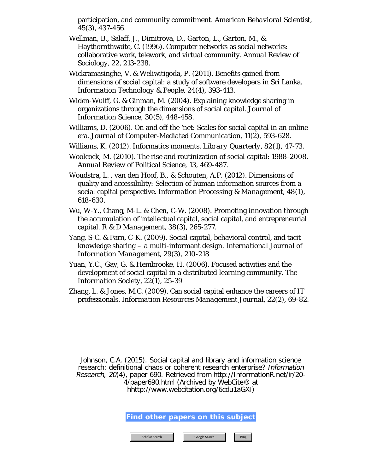participation, and community commitment. *American Behavioral Scientist, 45*(3), 437-456.

- Wellman, B., Salaff, J., Dimitrova, D., Garton, L., Garton, M., & Haythornthwaite, C. (1996). Computer networks as social networks: collaborative work, telework, and virtual community. *Annual Review of Sociology, 22*, 213-238.
- Wickramasinghe, V. & Weliwitigoda, P. (2011). Benefits gained from dimensions of social capital: a study of software developers in Sri Lanka. *Information Technology & People, 24*(4), 393-413.
- Widen-Wulff, G. & Ginman, M. (2004). Explaining knowledge sharing in organizations through the dimensions of social capital. *Journal of Information Science, 30*(5), 448-458.
- Williams, D. (2006). On and off the 'net: Scales for social capital in an online era. *Journal of Computer-Mediated Communication, 11*(2), 593-628.
- Williams, K. (2012). Informatics moments. *Library Quarterly, 82*(1), 47-73.
- Woolcock, M. (2010). The rise and routinization of social capital: 1988-2008. *Annual Review of Political Science, 13*, 469-487.
- Woudstra, L. , van den Hoof, B., & Schouten, A.P. (2012). Dimensions of quality and accessibility: Selection of human information sources from a social capital perspective. *Information Processing & Management, 48*(1), 618-630.
- Wu, W-Y., Chang, M-L. & Chen, C-W. (2008). Promoting innovation through the accumulation of intellectual capital, social capital, and entrepreneurial capital. *R & D Management, 38*(3), 265-277.
- Yang, S-C. & Farn, C-K. (2009). Social capital, behavioral control, and tacit knowledge sharing – a multi-informant design. *International Journal of Information Management, 29*(3), 210-218
- Yuan, Y.C., Gay, G. & Hembrooke, H. (2006). Focused activities and the development of social capital in a distributed learning community. *The Information Society, 22*(1), 25-39
- Zhang, L. & Jones, M.C. (2009). Can social capital enhance the careers of IT professionals. *Information Resources Management Journal, 22*(2), 69-82.

Johnson, C.A. (2015). Social capital and library and information science research: definitional chaos or coherent research enterprise? Information Research, 20(4), paper 690. Retrieved from http://InformationR.net/ir/20- 4/paper690.html (Archived by WebCite® at

hhttp://www.webcitation.org/6cdu1aGXI)

**Find other papers on this subject**

Scholar Search Google Search Bing